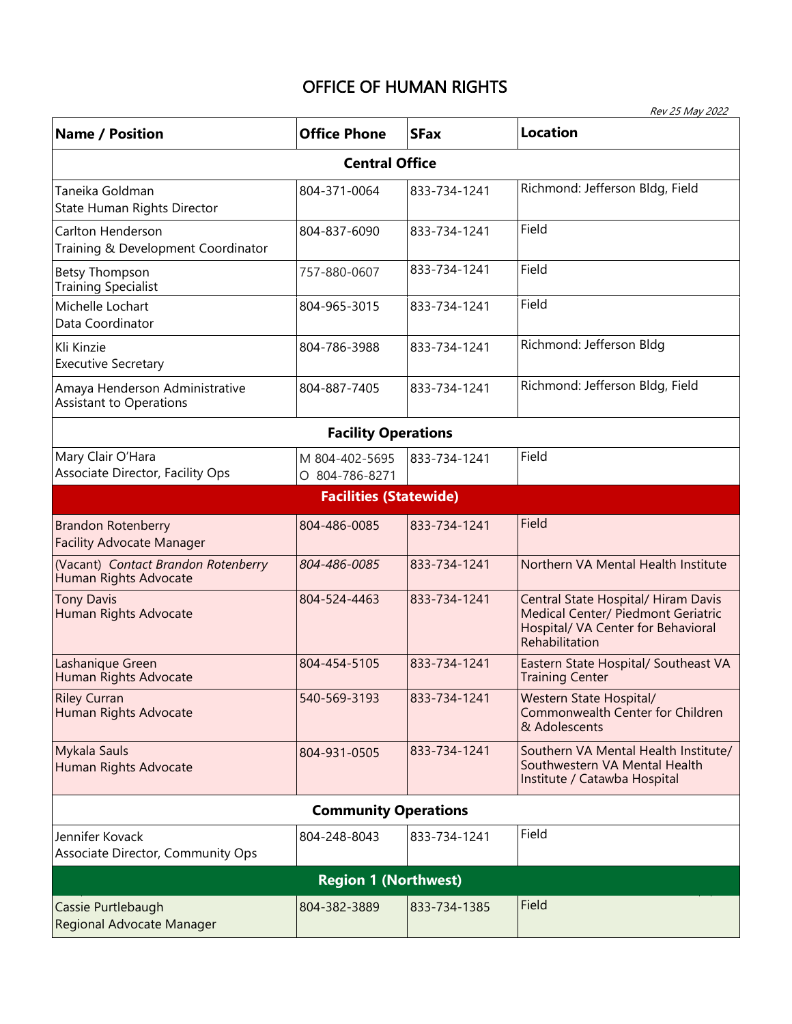## OFFICE OF HUMAN RIGHTS

| Rev 25 May 2022                                                  |                                  |              |                                                                                                                                   |  |  |
|------------------------------------------------------------------|----------------------------------|--------------|-----------------------------------------------------------------------------------------------------------------------------------|--|--|
| <b>Name / Position</b>                                           | <b>Office Phone</b>              | <b>SFax</b>  | <b>Location</b>                                                                                                                   |  |  |
|                                                                  | <b>Central Office</b>            |              |                                                                                                                                   |  |  |
| Taneika Goldman<br>State Human Rights Director                   | 804-371-0064                     | 833-734-1241 | Richmond: Jefferson Bldg, Field                                                                                                   |  |  |
| Carlton Henderson<br>Training & Development Coordinator          | 804-837-6090                     | 833-734-1241 | Field                                                                                                                             |  |  |
| <b>Betsy Thompson</b><br><b>Training Specialist</b>              | 757-880-0607                     | 833-734-1241 | Field                                                                                                                             |  |  |
| Michelle Lochart<br>Data Coordinator                             | 804-965-3015                     | 833-734-1241 | Field                                                                                                                             |  |  |
| Kli Kinzie<br><b>Executive Secretary</b>                         | 804-786-3988                     | 833-734-1241 | Richmond: Jefferson Bldg                                                                                                          |  |  |
| Amaya Henderson Administrative<br><b>Assistant to Operations</b> | 804-887-7405                     | 833-734-1241 | Richmond: Jefferson Bldg, Field                                                                                                   |  |  |
|                                                                  | <b>Facility Operations</b>       |              |                                                                                                                                   |  |  |
| Mary Clair O'Hara<br>Associate Director, Facility Ops            | M 804-402-5695<br>O 804-786-8271 | 833-734-1241 | Field                                                                                                                             |  |  |
|                                                                  | <b>Facilities (Statewide)</b>    |              |                                                                                                                                   |  |  |
| <b>Brandon Rotenberry</b><br><b>Facility Advocate Manager</b>    | 804-486-0085                     | 833-734-1241 | Field                                                                                                                             |  |  |
| (Vacant) Contact Brandon Rotenberry<br>Human Rights Advocate     | 804-486-0085                     | 833-734-1241 | Northern VA Mental Health Institute                                                                                               |  |  |
| <b>Tony Davis</b><br>Human Rights Advocate                       | 804-524-4463                     | 833-734-1241 | Central State Hospital/ Hiram Davis<br>Medical Center/ Piedmont Geriatric<br>Hospital/ VA Center for Behavioral<br>Rehabilitation |  |  |
| Lashanique Green<br>Human Rights Advocate                        | 804-454-5105                     | 833-734-1241 | Eastern State Hospital/ Southeast VA<br><b>Training Center</b>                                                                    |  |  |
| <b>Riley Curran</b><br>Human Rights Advocate                     | 540-569-3193                     | 833-734-1241 | Western State Hospital/<br>Commonwealth Center for Children<br>& Adolescents                                                      |  |  |
| <b>Mykala Sauls</b><br>Human Rights Advocate                     | 804-931-0505                     | 833-734-1241 | Southern VA Mental Health Institute/<br>Southwestern VA Mental Health<br>Institute / Catawba Hospital                             |  |  |
|                                                                  | <b>Community Operations</b>      |              |                                                                                                                                   |  |  |
| Jennifer Kovack<br>Associate Director, Community Ops             | 804-248-8043                     | 833-734-1241 | Field                                                                                                                             |  |  |
|                                                                  | <b>Region 1 (Northwest)</b>      |              |                                                                                                                                   |  |  |
| Cassie Purtlebaugh<br>Regional Advocate Manager                  | 804-382-3889                     | 833-734-1385 | Field                                                                                                                             |  |  |